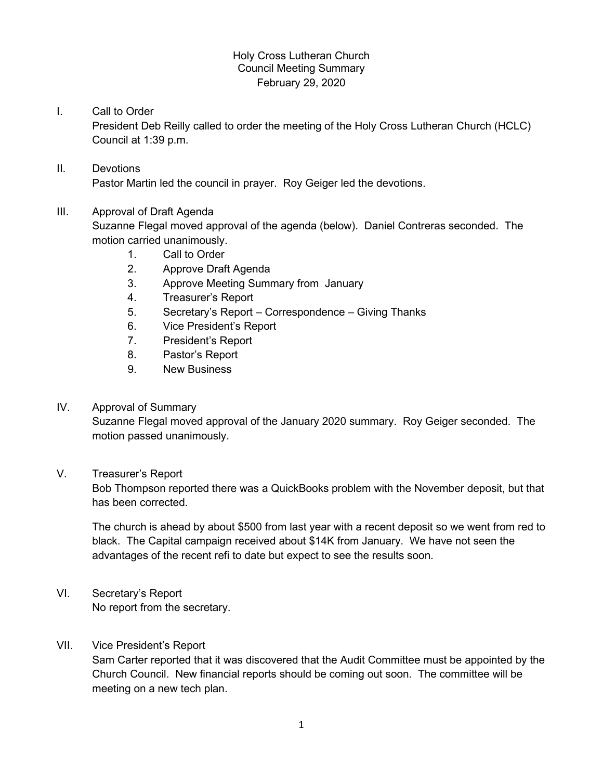## Holy Cross Lutheran Church Council Meeting Summary February 29, 2020

# I. Call to Order

President Deb Reilly called to order the meeting of the Holy Cross Lutheran Church (HCLC) Council at 1:39 p.m.

## II. Devotions Pastor Martin led the council in prayer. Roy Geiger led the devotions.

## III. Approval of Draft Agenda

Suzanne Flegal moved approval of the agenda (below). Daniel Contreras seconded. The motion carried unanimously.

- 1. Call to Order
- 2. Approve Draft Agenda
- 3. Approve Meeting Summary from January
- 4. Treasurer's Report
- 5. Secretary's Report Correspondence Giving Thanks
- 6. Vice President's Report
- 7. President's Report
- 8. Pastor's Report
- 9. New Business

# IV. Approval of Summary

Suzanne Flegal moved approval of the January 2020 summary. Roy Geiger seconded. The motion passed unanimously.

# V. Treasurer's Report

Bob Thompson reported there was a QuickBooks problem with the November deposit, but that has been corrected.

The church is ahead by about \$500 from last year with a recent deposit so we went from red to black. The Capital campaign received about \$14K from January. We have not seen the advantages of the recent refi to date but expect to see the results soon.

- VI. Secretary's Report No report from the secretary.
- VII. Vice President's Report

Sam Carter reported that it was discovered that the Audit Committee must be appointed by the Church Council. New financial reports should be coming out soon. The committee will be meeting on a new tech plan.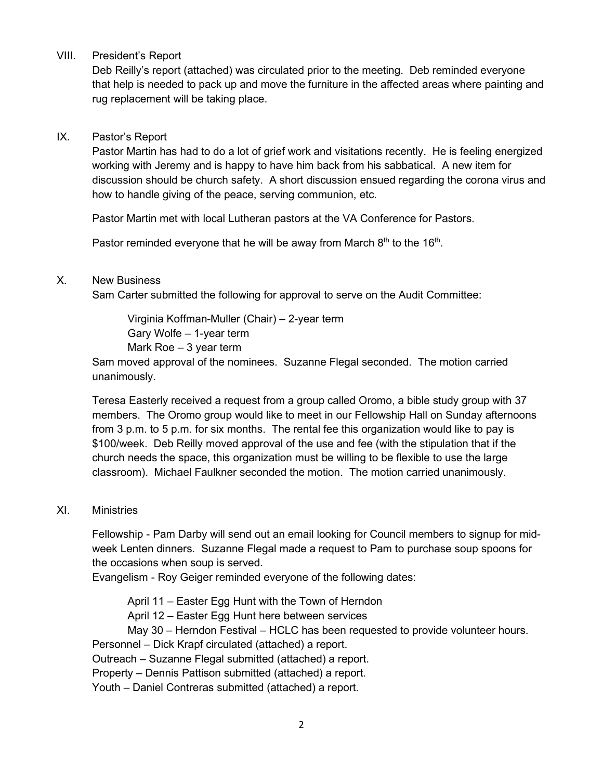#### VIII. President's Report

Deb Reilly's report (attached) was circulated prior to the meeting. Deb reminded everyone that help is needed to pack up and move the furniture in the affected areas where painting and rug replacement will be taking place.

#### IX. Pastor's Report

Pastor Martin has had to do a lot of grief work and visitations recently. He is feeling energized working with Jeremy and is happy to have him back from his sabbatical. A new item for discussion should be church safety. A short discussion ensued regarding the corona virus and how to handle giving of the peace, serving communion, etc.

Pastor Martin met with local Lutheran pastors at the VA Conference for Pastors.

Pastor reminded everyone that he will be away from March  $8<sup>th</sup>$  to the 16<sup>th</sup>.

#### X. New Business

Sam Carter submitted the following for approval to serve on the Audit Committee:

Virginia Koffman-Muller (Chair) – 2-year term Gary Wolfe – 1-year term

Mark Roe – 3 year term

Sam moved approval of the nominees. Suzanne Flegal seconded. The motion carried unanimously.

Teresa Easterly received a request from a group called Oromo, a bible study group with 37 members. The Oromo group would like to meet in our Fellowship Hall on Sunday afternoons from 3 p.m. to 5 p.m. for six months. The rental fee this organization would like to pay is \$100/week. Deb Reilly moved approval of the use and fee (with the stipulation that if the church needs the space, this organization must be willing to be flexible to use the large classroom). Michael Faulkner seconded the motion. The motion carried unanimously.

#### XI. Ministries

Fellowship - Pam Darby will send out an email looking for Council members to signup for midweek Lenten dinners. Suzanne Flegal made a request to Pam to purchase soup spoons for the occasions when soup is served.

Evangelism - Roy Geiger reminded everyone of the following dates:

April 11 – Easter Egg Hunt with the Town of Herndon

April 12 – Easter Egg Hunt here between services

May 30 – Herndon Festival – HCLC has been requested to provide volunteer hours.

Personnel – Dick Krapf circulated (attached) a report.

Outreach – Suzanne Flegal submitted (attached) a report.

Property – Dennis Pattison submitted (attached) a report.

Youth – Daniel Contreras submitted (attached) a report.